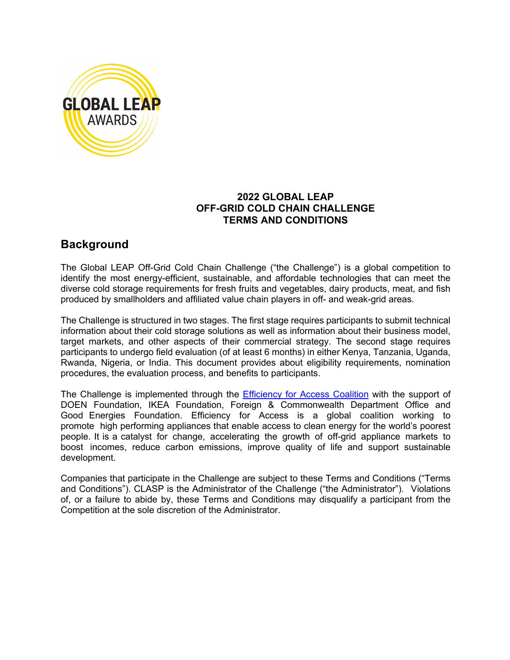

# **2022 GLOBAL LEAP OFF-GRID COLD CHAIN CHALLENGE TERMS AND CONDITIONS**

# **Background**

The Global LEAP Off-Grid Cold Chain Challenge ("the Challenge") is a global competition to identify the most energy-efficient, sustainable, and affordable technologies that can meet the diverse cold storage requirements for fresh fruits and vegetables, dairy products, meat, and fish produced by smallholders and affiliated value chain players in off- and weak-grid areas.

The Challenge is structured in two stages. The first stage requires participants to submit technical information about their cold storage solutions as well as information about their business model, target markets, and other aspects of their commercial strategy. The second stage requires participants to undergo field evaluation (of at least 6 months) in either Kenya, Tanzania, Uganda, Rwanda, Nigeria, or India. This document provides about eligibility requirements, nomination procedures, the evaluation process, and benefits to participants.

The Challenge is implemented through the **Efficiency for Access Coalition** with the support of DOEN Foundation, IKEA Foundation, Foreign & Commonwealth Department Office and Good Energies Foundation. Efficiency for Access is a global coalition working to promote high performing appliances that enable access to clean energy for the world's poorest people. It is a catalyst for change, accelerating the growth of off-grid appliance markets to boost incomes, reduce carbon emissions, improve quality of life and support sustainable development.

Companies that participate in the Challenge are subject to these Terms and Conditions ("Terms and Conditions"). CLASP is the Administrator of the Challenge ("the Administrator"). Violations of, or a failure to abide by, these Terms and Conditions may disqualify a participant from the Competition at the sole discretion of the Administrator.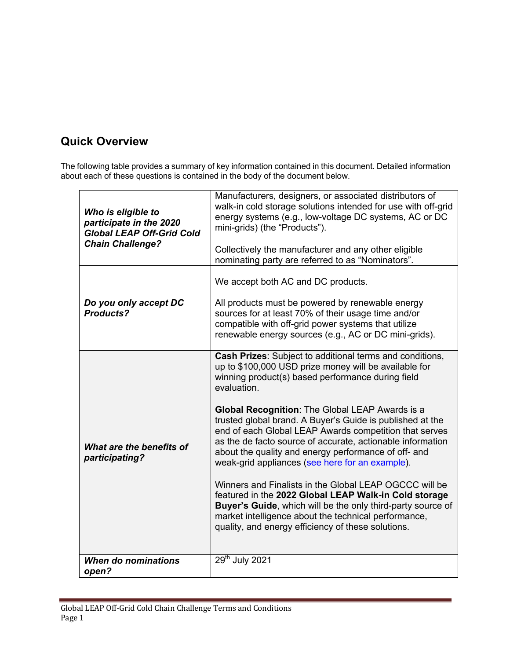# **Quick Overview**

The following table provides a summary of key information contained in this document. Detailed information about each of these questions is contained in the body of the document below.

| Who is eligible to<br>participate in the 2020<br><b>Global LEAP Off-Grid Cold</b><br><b>Chain Challenge?</b> | Manufacturers, designers, or associated distributors of<br>walk-in cold storage solutions intended for use with off-grid<br>energy systems (e.g., low-voltage DC systems, AC or DC<br>mini-grids) (the "Products").<br>Collectively the manufacturer and any other eligible<br>nominating party are referred to as "Nominators".                                                                                                                                                                                                                                                                                                                                                                                                                                                                                                                |  |
|--------------------------------------------------------------------------------------------------------------|-------------------------------------------------------------------------------------------------------------------------------------------------------------------------------------------------------------------------------------------------------------------------------------------------------------------------------------------------------------------------------------------------------------------------------------------------------------------------------------------------------------------------------------------------------------------------------------------------------------------------------------------------------------------------------------------------------------------------------------------------------------------------------------------------------------------------------------------------|--|
| Do you only accept DC<br><b>Products?</b>                                                                    | We accept both AC and DC products.<br>All products must be powered by renewable energy<br>sources for at least 70% of their usage time and/or<br>compatible with off-grid power systems that utilize<br>renewable energy sources (e.g., AC or DC mini-grids).                                                                                                                                                                                                                                                                                                                                                                                                                                                                                                                                                                                   |  |
| What are the benefits of<br>participating?                                                                   | Cash Prizes: Subject to additional terms and conditions,<br>up to \$100,000 USD prize money will be available for<br>winning product(s) based performance during field<br>evaluation.<br><b>Global Recognition: The Global LEAP Awards is a</b><br>trusted global brand. A Buyer's Guide is published at the<br>end of each Global LEAP Awards competition that serves<br>as the de facto source of accurate, actionable information<br>about the quality and energy performance of off- and<br>weak-grid appliances (see here for an example).<br>Winners and Finalists in the Global LEAP OGCCC will be<br>featured in the 2022 Global LEAP Walk-in Cold storage<br>Buyer's Guide, which will be the only third-party source of<br>market intelligence about the technical performance,<br>quality, and energy efficiency of these solutions. |  |
| <b>When do nominations</b><br>open?                                                                          | 29th July 2021                                                                                                                                                                                                                                                                                                                                                                                                                                                                                                                                                                                                                                                                                                                                                                                                                                  |  |
|                                                                                                              |                                                                                                                                                                                                                                                                                                                                                                                                                                                                                                                                                                                                                                                                                                                                                                                                                                                 |  |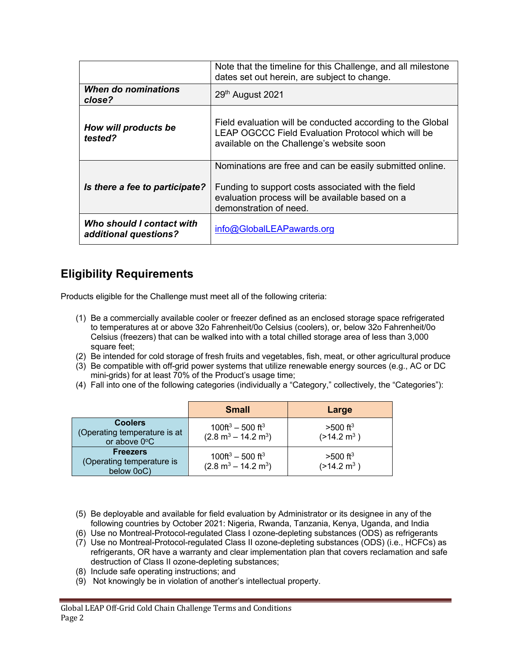|                                                    | Note that the timeline for this Challenge, and all milestone<br>dates set out herein, are subject to change.                                                                                |  |
|----------------------------------------------------|---------------------------------------------------------------------------------------------------------------------------------------------------------------------------------------------|--|
| When do nominations<br>close?                      | 29 <sup>th</sup> August 2021                                                                                                                                                                |  |
| How will products be<br>tested?                    | Field evaluation will be conducted according to the Global<br>LEAP OGCCC Field Evaluation Protocol which will be<br>available on the Challenge's website soon                               |  |
| Is there a fee to participate?                     | Nominations are free and can be easily submitted online.<br>Funding to support costs associated with the field<br>evaluation process will be available based on a<br>demonstration of need. |  |
| Who should I contact with<br>additional questions? | info@GlobalLEAPawards.org                                                                                                                                                                   |  |

# **Eligibility Requirements**

Products eligible for the Challenge must meet all of the following criteria:

- (1) Be a commercially available cooler or freezer defined as an enclosed storage space refrigerated to temperatures at or above 32o Fahrenheit/0o Celsius (coolers), or, below 32o Fahrenheit/0o Celsius (freezers) that can be walked into with a total chilled storage area of less than 3,000 square feet;
- (2) Be intended for cold storage of fresh fruits and vegetables, fish, meat, or other agricultural produce
- (3) Be compatible with off-grid power systems that utilize renewable energy sources (e.g., AC or DC mini-grids) for at least 70% of the Product's usage time;
- (4) Fall into one of the following categories (individually a "Category," collectively, the "Categories"):

|                                                                | <b>Small</b>                                                 | Large                                           |
|----------------------------------------------------------------|--------------------------------------------------------------|-------------------------------------------------|
| <b>Coolers</b><br>(Operating temperature is at<br>or above 0°C | $100 \text{ft}^3 - 500 \text{ ft}^3$<br>$(2.8 m3 – 14.2 m3)$ | $>500$ ft <sup>3</sup><br>$(>14.2 \text{ m}^3)$ |
| <b>Freezers</b><br>(Operating temperature is<br>below 0oC)     | $100 \text{ft}^3 - 500 \text{ ft}^3$<br>$(2.8 m3 – 14.2 m3)$ | $>500$ ft <sup>3</sup><br>$(>14.2 \text{ m}^3)$ |

- (5) Be deployable and available for field evaluation by Administrator or its designee in any of the following countries by October 2021: Nigeria, Rwanda, Tanzania, Kenya, Uganda, and India
- (6) Use no Montreal-Protocol-regulated Class I ozone-depleting substances (ODS) as refrigerants
- (7) Use no Montreal-Protocol-regulated Class II ozone-depleting substances (ODS) (i.e., HCFCs) as refrigerants, OR have a warranty and clear implementation plan that covers reclamation and safe destruction of Class II ozone-depleting substances;
- (8) Include safe operating instructions; and
- (9) Not knowingly be in violation of another's intellectual property.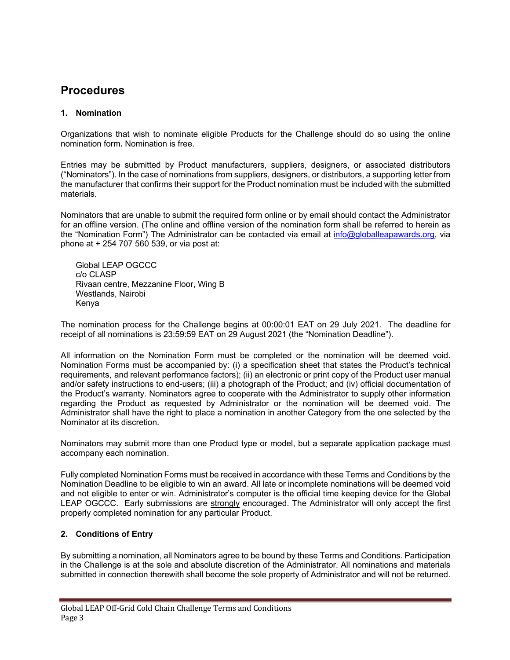# **Procedures**

# **1. Nomination**

Organizations that wish to nominate eligible Products for the Challenge should do so using the online nomination form**.** Nomination is free.

Entries may be submitted by Product manufacturers, suppliers, designers, or associated distributors ("Nominators"). In the case of nominations from suppliers, designers, or distributors, a supporting letter from the manufacturer that confirms their support for the Product nomination must be included with the submitted materials.

Nominators that are unable to submit the required form online or by email should contact the Administrator for an offline version. (The online and offline version of the nomination form shall be referred to herein as the "Nomination Form") The Administrator can be contacted via email at info@globalleapawards.org, via phone at + 254 707 560 539, or via post at:

Global LEAP OGCCC c/o CLASP Rivaan centre, Mezzanine Floor, Wing B Westlands, Nairobi Kenya

The nomination process for the Challenge begins at 00:00:01 EAT on 29 July 2021. The deadline for receipt of all nominations is 23:59:59 EAT on 29 August 2021 (the "Nomination Deadline").

All information on the Nomination Form must be completed or the nomination will be deemed void. Nomination Forms must be accompanied by: (i) a specification sheet that states the Product's technical requirements, and relevant performance factors); (ii) an electronic or print copy of the Product user manual and/or safety instructions to end-users; (iii) a photograph of the Product; and (iv) official documentation of the Product's warranty. Nominators agree to cooperate with the Administrator to supply other information regarding the Product as requested by Administrator or the nomination will be deemed void. The Administrator shall have the right to place a nomination in another Category from the one selected by the Nominator at its discretion.

Nominators may submit more than one Product type or model, but a separate application package must accompany each nomination.

Fully completed Nomination Forms must be received in accordance with these Terms and Conditions by the Nomination Deadline to be eligible to win an award. All late or incomplete nominations will be deemed void and not eligible to enter or win. Administrator's computer is the official time keeping device for the Global LEAP OGCCC. Early submissions are strongly encouraged. The Administrator will only accept the first properly completed nomination for any particular Product.

#### **2. Conditions of Entry**

By submitting a nomination, all Nominators agree to be bound by these Terms and Conditions. Participation in the Challenge is at the sole and absolute discretion of the Administrator. All nominations and materials submitted in connection therewith shall become the sole property of Administrator and will not be returned.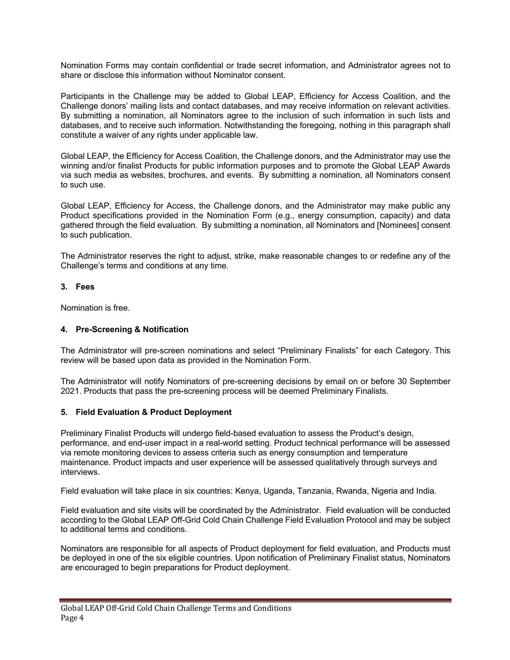Nomination Forms may contain confidential or trade secret information, and Administrator agrees not to share or disclose this information without Nominator consent.

Participants in the Challenge may be added to Global LEAP, Efficiency for Access Coalition, and the Challenge donors' mailing lists and contact databases, and may receive information on relevant activities. By submitting a nomination, all Nominators agree to the inclusion of such information in such lists and databases, and to receive such information. Notwithstanding the foregoing, nothing in this paragraph shall constitute a waiver of any rights under applicable law.

Global LEAP, the Efficiency for Access Coalition, the Challenge donors, and the Administrator may use the winning and/or finalist Products for public information purposes and to promote the Global LEAP Awards via such media as websites, brochures, and events. By submitting a nomination, all Nominators consent to such use.

Global LEAP, Efficiency for Access, the Challenge donors, and the Administrator may make public any Product specifications provided in the Nomination Form (e.g., energy consumption, capacity) and data gathered through the field evaluation. By submitting a nomination, all Nominators and [Nominees] consent to such publication.

The Administrator reserves the right to adjust, strike, make reasonable changes to or redefine any of the Challenge's terms and conditions at any time.

#### **3. Fees**

Nomination is free.

#### **4. Pre-Screening & Notification**

The Administrator will pre-screen nominations and select "Preliminary Finalists" for each Category. This review will be based upon data as provided in the Nomination Form.

The Administrator will notify Nominators of pre-screening decisions by email on or before 30 September 2021. Products that pass the pre-screening process will be deemed Preliminary Finalists.

#### **5. Field Evaluation & Product Deployment**

Preliminary Finalist Products will undergo field-based evaluation to assess the Product's design, performance, and end-user impact in a real-world setting. Product technical performance will be assessed via remote monitoring devices to assess criteria such as energy consumption and temperature maintenance. Product impacts and user experience will be assessed qualitatively through surveys and interviews.

Field evaluation will take place in six countries: Kenya, Uganda, Tanzania, Rwanda, Nigeria and India.

Field evaluation and site visits will be coordinated by the Administrator. Field evaluation will be conducted according to the Global LEAP Off-Grid Cold Chain Challenge Field Evaluation Protocol and may be subject to additional terms and conditions.

Nominators are responsible for all aspects of Product deployment for field evaluation, and Products must be deployed in one of the six eligible countries. Upon notification of Preliminary Finalist status, Nominators are encouraged to begin preparations for Product deployment.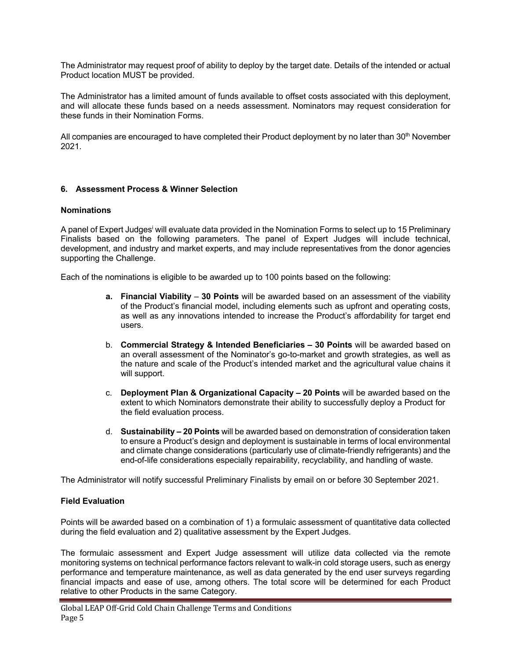The Administrator may request proof of ability to deploy by the target date. Details of the intended or actual Product location MUST be provided.

The Administrator has a limited amount of funds available to offset costs associated with this deployment, and will allocate these funds based on a needs assessment. Nominators may request consideration for these funds in their Nomination Forms.

All companies are encouraged to have completed their Product deployment by no later than 30<sup>th</sup> November 2021.

#### **6. Assessment Process & Winner Selection**

#### **Nominations**

A panel of Expert Judges<sup>i</sup> will evaluate data provided in the Nomination Forms to select up to 15 Preliminary Finalists based on the following parameters. The panel of Expert Judges will include technical, development, and industry and market experts, and may include representatives from the donor agencies supporting the Challenge.

Each of the nominations is eligible to be awarded up to 100 points based on the following:

- **a. Financial Viability 30 Points** will be awarded based on an assessment of the viability of the Product's financial model, including elements such as upfront and operating costs, as well as any innovations intended to increase the Product's affordability for target end users.
- b. **Commercial Strategy & Intended Beneficiaries – 30 Points** will be awarded based on an overall assessment of the Nominator's go-to-market and growth strategies, as well as the nature and scale of the Product's intended market and the agricultural value chains it will support.
- c. **Deployment Plan & Organizational Capacity – 20 Points** will be awarded based on the extent to which Nominators demonstrate their ability to successfully deploy a Product for the field evaluation process.
- d. **Sustainability – 20 Points** will be awarded based on demonstration of consideration taken to ensure a Product's design and deployment is sustainable in terms of local environmental and climate change considerations (particularly use of climate-friendly refrigerants) and the end-of-life considerations especially repairability, recyclability, and handling of waste.

The Administrator will notify successful Preliminary Finalists by email on or before 30 September 2021.

#### **Field Evaluation**

Points will be awarded based on a combination of 1) a formulaic assessment of quantitative data collected during the field evaluation and 2) qualitative assessment by the Expert Judges.

The formulaic assessment and Expert Judge assessment will utilize data collected via the remote monitoring systems on technical performance factors relevant to walk-in cold storage users, such as energy performance and temperature maintenance, as well as data generated by the end user surveys regarding financial impacts and ease of use, among others. The total score will be determined for each Product relative to other Products in the same Category.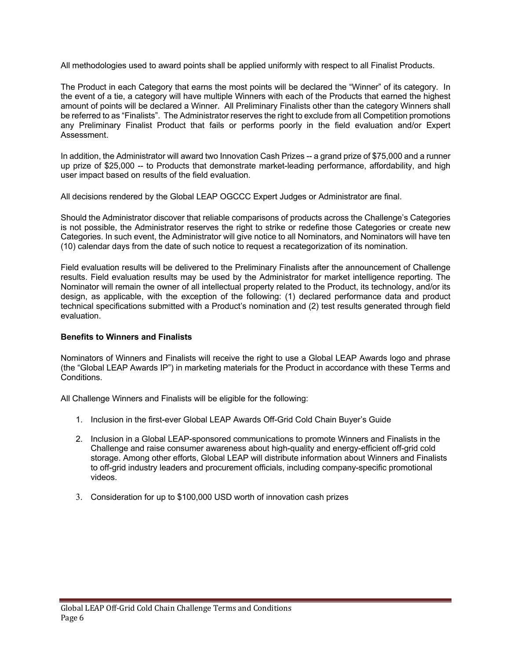All methodologies used to award points shall be applied uniformly with respect to all Finalist Products.

The Product in each Category that earns the most points will be declared the "Winner" of its category. In the event of a tie, a category will have multiple Winners with each of the Products that earned the highest amount of points will be declared a Winner. All Preliminary Finalists other than the category Winners shall be referred to as "Finalists". The Administrator reserves the right to exclude from all Competition promotions any Preliminary Finalist Product that fails or performs poorly in the field evaluation and/or Expert Assessment.

In addition, the Administrator will award two Innovation Cash Prizes -- a grand prize of \$75,000 and a runner up prize of \$25,000 -- to Products that demonstrate market-leading performance, affordability, and high user impact based on results of the field evaluation.

All decisions rendered by the Global LEAP OGCCC Expert Judges or Administrator are final.

Should the Administrator discover that reliable comparisons of products across the Challenge's Categories is not possible, the Administrator reserves the right to strike or redefine those Categories or create new Categories. In such event, the Administrator will give notice to all Nominators, and Nominators will have ten (10) calendar days from the date of such notice to request a recategorization of its nomination.

Field evaluation results will be delivered to the Preliminary Finalists after the announcement of Challenge results. Field evaluation results may be used by the Administrator for market intelligence reporting. The Nominator will remain the owner of all intellectual property related to the Product, its technology, and/or its design, as applicable, with the exception of the following: (1) declared performance data and product technical specifications submitted with a Product's nomination and (2) test results generated through field evaluation.

#### **Benefits to Winners and Finalists**

Nominators of Winners and Finalists will receive the right to use a Global LEAP Awards logo and phrase (the "Global LEAP Awards IP") in marketing materials for the Product in accordance with these Terms and Conditions.

All Challenge Winners and Finalists will be eligible for the following:

- 1. Inclusion in the first-ever Global LEAP Awards Off-Grid Cold Chain Buyer's Guide
- 2. Inclusion in a Global LEAP-sponsored communications to promote Winners and Finalists in the Challenge and raise consumer awareness about high-quality and energy-efficient off-grid cold storage. Among other efforts, Global LEAP will distribute information about Winners and Finalists to off-grid industry leaders and procurement officials, including company-specific promotional videos.
- 3. Consideration for up to \$100,000 USD worth of innovation cash prizes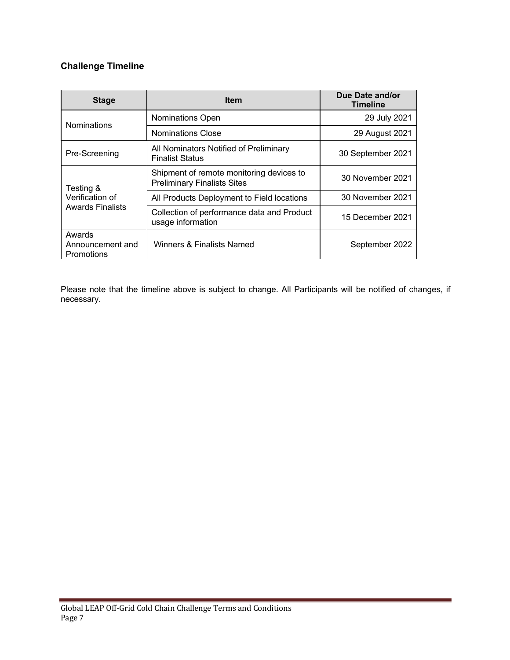# **Challenge Timeline**

| <b>Stage</b>                                            | <b>Item</b>                                                                    | Due Date and/or<br><b>Timeline</b> |
|---------------------------------------------------------|--------------------------------------------------------------------------------|------------------------------------|
| <b>Nominations</b>                                      | Nominations Open                                                               | 29 July 2021                       |
|                                                         | <b>Nominations Close</b>                                                       | 29 August 2021                     |
| Pre-Screening                                           | All Nominators Notified of Preliminary<br><b>Finalist Status</b>               | 30 September 2021                  |
| Testing &<br>Verification of<br><b>Awards Finalists</b> | Shipment of remote monitoring devices to<br><b>Preliminary Finalists Sites</b> | 30 November 2021                   |
|                                                         | All Products Deployment to Field locations                                     | 30 November 2021                   |
|                                                         | Collection of performance data and Product<br>usage information                | 15 December 2021                   |
| Awards<br>Announcement and<br>Promotions                | Winners & Finalists Named                                                      | September 2022                     |

Please note that the timeline above is subject to change. All Participants will be notified of changes, if necessary.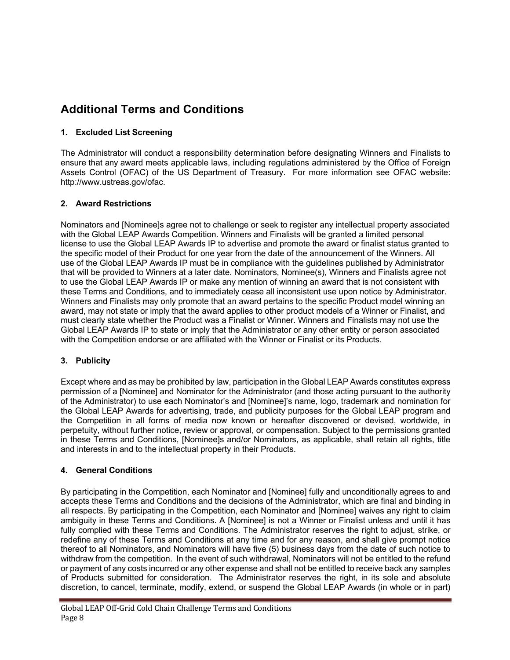# **Additional Terms and Conditions**

# **1. Excluded List Screening**

The Administrator will conduct a responsibility determination before designating Winners and Finalists to ensure that any award meets applicable laws, including regulations administered by the Office of Foreign Assets Control (OFAC) of the US Department of Treasury. For more information see OFAC website: http://www.ustreas.gov/ofac.

### **2. Award Restrictions**

Nominators and [Nominee]s agree not to challenge or seek to register any intellectual property associated with the Global LEAP Awards Competition. Winners and Finalists will be granted a limited personal license to use the Global LEAP Awards IP to advertise and promote the award or finalist status granted to the specific model of their Product for one year from the date of the announcement of the Winners. All use of the Global LEAP Awards IP must be in compliance with the guidelines published by Administrator that will be provided to Winners at a later date. Nominators, Nominee(s), Winners and Finalists agree not to use the Global LEAP Awards IP or make any mention of winning an award that is not consistent with these Terms and Conditions, and to immediately cease all inconsistent use upon notice by Administrator. Winners and Finalists may only promote that an award pertains to the specific Product model winning an award, may not state or imply that the award applies to other product models of a Winner or Finalist, and must clearly state whether the Product was a Finalist or Winner. Winners and Finalists may not use the Global LEAP Awards IP to state or imply that the Administrator or any other entity or person associated with the Competition endorse or are affiliated with the Winner or Finalist or its Products.

# **3. Publicity**

Except where and as may be prohibited by law, participation in the Global LEAP Awards constitutes express permission of a [Nominee] and Nominator for the Administrator (and those acting pursuant to the authority of the Administrator) to use each Nominator's and [Nominee]'s name, logo, trademark and nomination for the Global LEAP Awards for advertising, trade, and publicity purposes for the Global LEAP program and the Competition in all forms of media now known or hereafter discovered or devised, worldwide, in perpetuity, without further notice, review or approval, or compensation. Subject to the permissions granted in these Terms and Conditions, [Nominee]s and/or Nominators, as applicable, shall retain all rights, title and interests in and to the intellectual property in their Products.

# **4. General Conditions**

By participating in the Competition, each Nominator and [Nominee] fully and unconditionally agrees to and accepts these Terms and Conditions and the decisions of the Administrator, which are final and binding in all respects. By participating in the Competition, each Nominator and [Nominee] waives any right to claim ambiguity in these Terms and Conditions. A [Nominee] is not a Winner or Finalist unless and until it has fully complied with these Terms and Conditions. The Administrator reserves the right to adjust, strike, or redefine any of these Terms and Conditions at any time and for any reason, and shall give prompt notice thereof to all Nominators, and Nominators will have five (5) business days from the date of such notice to withdraw from the competition. In the event of such withdrawal, Nominators will not be entitled to the refund or payment of any costs incurred or any other expense and shall not be entitled to receive back any samples of Products submitted for consideration. The Administrator reserves the right, in its sole and absolute discretion, to cancel, terminate, modify, extend, or suspend the Global LEAP Awards (in whole or in part)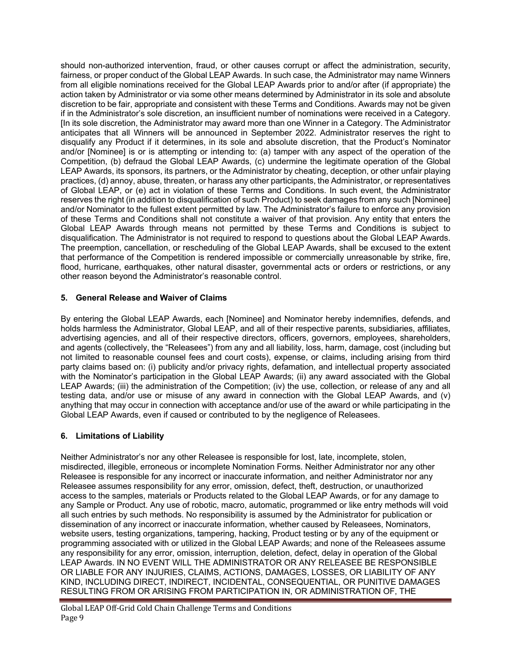should non-authorized intervention, fraud, or other causes corrupt or affect the administration, security, fairness, or proper conduct of the Global LEAP Awards. In such case, the Administrator may name Winners from all eligible nominations received for the Global LEAP Awards prior to and/or after (if appropriate) the action taken by Administrator or via some other means determined by Administrator in its sole and absolute discretion to be fair, appropriate and consistent with these Terms and Conditions. Awards may not be given if in the Administrator's sole discretion, an insufficient number of nominations were received in a Category. [In its sole discretion, the Administrator may award more than one Winner in a Category. The Administrator anticipates that all Winners will be announced in September 2022. Administrator reserves the right to disqualify any Product if it determines, in its sole and absolute discretion, that the Product's Nominator and/or [Nominee] is or is attempting or intending to: (a) tamper with any aspect of the operation of the Competition, (b) defraud the Global LEAP Awards, (c) undermine the legitimate operation of the Global LEAP Awards, its sponsors, its partners, or the Administrator by cheating, deception, or other unfair playing practices, (d) annoy, abuse, threaten, or harass any other participants, the Administrator, or representatives of Global LEAP, or (e) act in violation of these Terms and Conditions. In such event, the Administrator reserves the right (in addition to disqualification of such Product) to seek damages from any such [Nominee] and/or Nominator to the fullest extent permitted by law. The Administrator's failure to enforce any provision of these Terms and Conditions shall not constitute a waiver of that provision. Any entity that enters the Global LEAP Awards through means not permitted by these Terms and Conditions is subject to disqualification. The Administrator is not required to respond to questions about the Global LEAP Awards. The preemption, cancellation, or rescheduling of the Global LEAP Awards, shall be excused to the extent that performance of the Competition is rendered impossible or commercially unreasonable by strike, fire, flood, hurricane, earthquakes, other natural disaster, governmental acts or orders or restrictions, or any other reason beyond the Administrator's reasonable control.

### **5. General Release and Waiver of Claims**

By entering the Global LEAP Awards, each [Nominee] and Nominator hereby indemnifies, defends, and holds harmless the Administrator, Global LEAP, and all of their respective parents, subsidiaries, affiliates, advertising agencies, and all of their respective directors, officers, governors, employees, shareholders, and agents (collectively, the "Releasees") from any and all liability, loss, harm, damage, cost (including but not limited to reasonable counsel fees and court costs), expense, or claims, including arising from third party claims based on: (i) publicity and/or privacy rights, defamation, and intellectual property associated with the Nominator's participation in the Global LEAP Awards; (ii) any award associated with the Global LEAP Awards; (iii) the administration of the Competition; (iv) the use, collection, or release of any and all testing data, and/or use or misuse of any award in connection with the Global LEAP Awards, and (v) anything that may occur in connection with acceptance and/or use of the award or while participating in the Global LEAP Awards, even if caused or contributed to by the negligence of Releasees.

# **6. Limitations of Liability**

Neither Administrator's nor any other Releasee is responsible for lost, late, incomplete, stolen, misdirected, illegible, erroneous or incomplete Nomination Forms. Neither Administrator nor any other Releasee is responsible for any incorrect or inaccurate information, and neither Administrator nor any Releasee assumes responsibility for any error, omission, defect, theft, destruction, or unauthorized access to the samples, materials or Products related to the Global LEAP Awards, or for any damage to any Sample or Product. Any use of robotic, macro, automatic, programmed or like entry methods will void all such entries by such methods. No responsibility is assumed by the Administrator for publication or dissemination of any incorrect or inaccurate information, whether caused by Releasees, Nominators, website users, testing organizations, tampering, hacking, Product testing or by any of the equipment or programming associated with or utilized in the Global LEAP Awards; and none of the Releasees assume any responsibility for any error, omission, interruption, deletion, defect, delay in operation of the Global LEAP Awards. IN NO EVENT WILL THE ADMINISTRATOR OR ANY RELEASEE BE RESPONSIBLE OR LIABLE FOR ANY INJURIES, CLAIMS, ACTIONS, DAMAGES, LOSSES, OR LIABILITY OF ANY KIND, INCLUDING DIRECT, INDIRECT, INCIDENTAL, CONSEQUENTIAL, OR PUNITIVE DAMAGES RESULTING FROM OR ARISING FROM PARTICIPATION IN, OR ADMINISTRATION OF, THE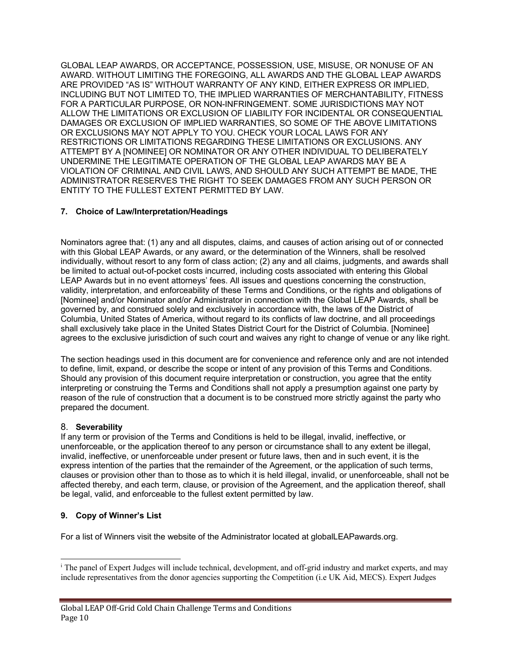GLOBAL LEAP AWARDS, OR ACCEPTANCE, POSSESSION, USE, MISUSE, OR NONUSE OF AN AWARD. WITHOUT LIMITING THE FOREGOING, ALL AWARDS AND THE GLOBAL LEAP AWARDS ARE PROVIDED "AS IS" WITHOUT WARRANTY OF ANY KIND, EITHER EXPRESS OR IMPLIED, INCLUDING BUT NOT LIMITED TO, THE IMPLIED WARRANTIES OF MERCHANTABILITY, FITNESS FOR A PARTICULAR PURPOSE, OR NON-INFRINGEMENT. SOME JURISDICTIONS MAY NOT ALLOW THE LIMITATIONS OR EXCLUSION OF LIABILITY FOR INCIDENTAL OR CONSEQUENTIAL DAMAGES OR EXCLUSION OF IMPLIED WARRANTIES, SO SOME OF THE ABOVE LIMITATIONS OR EXCLUSIONS MAY NOT APPLY TO YOU. CHECK YOUR LOCAL LAWS FOR ANY RESTRICTIONS OR LIMITATIONS REGARDING THESE LIMITATIONS OR EXCLUSIONS. ANY ATTEMPT BY A [NOMINEE] OR NOMINATOR OR ANY OTHER INDIVIDUAL TO DELIBERATELY UNDERMINE THE LEGITIMATE OPERATION OF THE GLOBAL LEAP AWARDS MAY BE A VIOLATION OF CRIMINAL AND CIVIL LAWS, AND SHOULD ANY SUCH ATTEMPT BE MADE, THE ADMINISTRATOR RESERVES THE RIGHT TO SEEK DAMAGES FROM ANY SUCH PERSON OR ENTITY TO THE FULLEST EXTENT PERMITTED BY LAW.

### **7. Choice of Law/Interpretation/Headings**

Nominators agree that: (1) any and all disputes, claims, and causes of action arising out of or connected with this Global LEAP Awards, or any award, or the determination of the Winners, shall be resolved individually, without resort to any form of class action; (2) any and all claims, judgments, and awards shall be limited to actual out-of-pocket costs incurred, including costs associated with entering this Global LEAP Awards but in no event attorneys' fees. All issues and questions concerning the construction, validity, interpretation, and enforceability of these Terms and Conditions, or the rights and obligations of [Nominee] and/or Nominator and/or Administrator in connection with the Global LEAP Awards, shall be governed by, and construed solely and exclusively in accordance with, the laws of the District of Columbia, United States of America, without regard to its conflicts of law doctrine, and all proceedings shall exclusively take place in the United States District Court for the District of Columbia. [Nominee] agrees to the exclusive jurisdiction of such court and waives any right to change of venue or any like right.

The section headings used in this document are for convenience and reference only and are not intended to define, limit, expand, or describe the scope or intent of any provision of this Terms and Conditions. Should any provision of this document require interpretation or construction, you agree that the entity interpreting or construing the Terms and Conditions shall not apply a presumption against one party by reason of the rule of construction that a document is to be construed more strictly against the party who prepared the document.

#### 8. **Severability**

If any term or provision of the Terms and Conditions is held to be illegal, invalid, ineffective, or unenforceable, or the application thereof to any person or circumstance shall to any extent be illegal, invalid, ineffective, or unenforceable under present or future laws, then and in such event, it is the express intention of the parties that the remainder of the Agreement, or the application of such terms, clauses or provision other than to those as to which it is held illegal, invalid, or unenforceable, shall not be affected thereby, and each term, clause, or provision of the Agreement, and the application thereof, shall be legal, valid, and enforceable to the fullest extent permitted by law.

# **9. Copy of Winner's List**

For a list of Winners visit the website of the Administrator located at globalLEAPawards.org.

<sup>i</sup> The panel of Expert Judges will include technical, development, and off-grid industry and market experts, and may include representatives from the donor agencies supporting the Competition (i.e UK Aid, MECS). Expert Judges